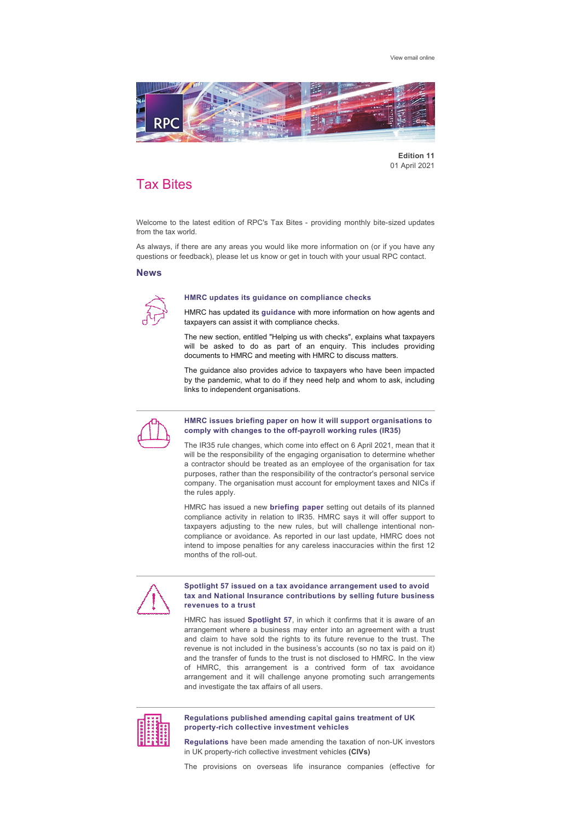[View email online](https://rpc.vuturevx.com/API/Print/Preview/Screen?url=https%3a%2f%2fsites-rpc.vuturevx.com%2f70%2f2888%2fcompose-email%2frpc-tax-bites--monthly-bite-size-updates-from-the-tax-world.asp%3fwidth%3d1024#)



**Edition 11** 01 April 2021

# Tax Bites

Welcome to the latest edition of RPC's Tax Bites - providing monthly bite-sized updates from the tax world.

As always, if there are any areas you would like more information on (or if you have any questions or feedback), please let us know or get in touch with your usual RPC contact.

## **News**



#### **HMRC updates its guidance on compliance checks**

HMRC has updated its **[guidance](https://www.gov.uk/guidance/hmrc-compliance-checks-help-and-support)** with more information on how agents and taxpayers can assist it with compliance checks.

The new section, entitled "Helping us with checks", explains what taxpayers will be asked to do as part of an enquiry. This includes providing documents to HMRC and meeting with HMRC to discuss matters.

The guidance also provides advice to taxpayers who have been impacted by the pandemic, what to do if they need help and whom to ask, including links to independent organisations.



## **HMRC issues briefing paper on how it will support organisations to**  comply with changes to the off-payroll working rules (IR35)

The IR35 rule changes, which come into effect on 6 April 2021, mean that it will be the responsibility of the engaging organisation to determine whether a contractor should be treated as an employee of the organisation for tax purposes, rather than the responsibility of the contractor's personal service company. The organisation must account for employment taxes and NICs if the rules apply.

HMRC has issued a new **[briefing paper](https://www.gov.uk/government/publications/hmrc-issue-briefing-supporting-organisations-to-comply-with-changes-to-the-off-payroll-working-rules-ir35)** setting out details of its planned compliance activity in relation to IR35. HMRC says it will offer support to taxpayers adjusting to the new rules, but will challenge intentional noncompliance or avoidance. As reported in our last update, HMRC does not intend to impose penalties for any careless inaccuracies within the first 12 months of the roll-out.



### **Spotlight 57 issued on a tax avoidance arrangement used to avoid tax and National Insurance contributions by selling future business revenues to a trust**

HMRC has issued **[Spotlight 57](https://www.gov.uk/guidance/disguised-remuneration-tax-avoidance-by-selling-future-business-revenues-to-a-revenue-service-trust-spotlight-57)**, in which it confirms that it is aware of an arrangement where a business may enter into an agreement with a trust and claim to have sold the rights to its future revenue to the trust. The revenue is not included in the business's accounts (so no tax is paid on it) and the transfer of funds to the trust is not disclosed to HMRC. In the view of HMRC, this arrangement is a contrived form of tax avoidance arrangement and it will challenge anyone promoting such arrangements and investigate the tax affairs of all users.



### **Regulations published amending capital gains treatment of UK**  property-rich collective investment vehicles

**[Regulations](https://www.legislation.gov.uk/uksi/2021/213/contents/made)** have been made amending the taxation of non-UK investors in UK property-rich collective investment vehicles (CIVs)

The provisions on overseas life insurance companies (effective for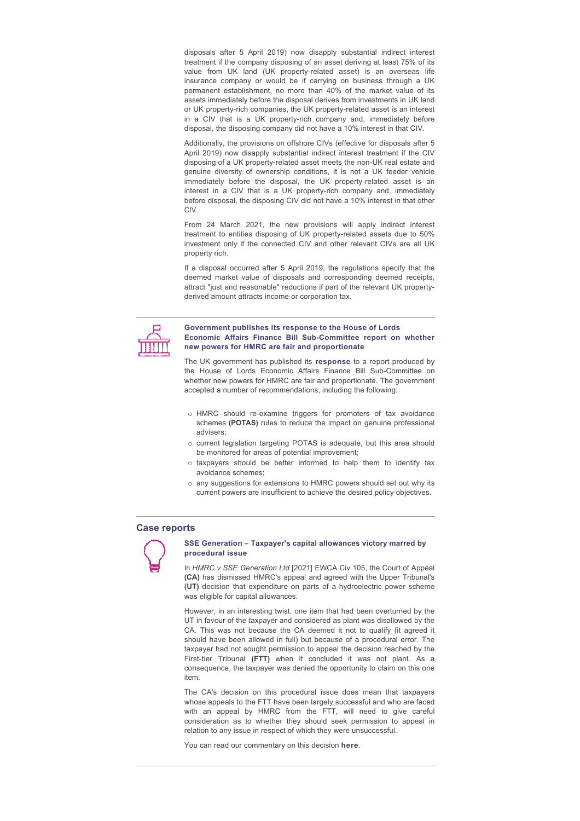disposals after 5 April 2019) now disapply substantial indirect interest treatment if the company disposing of an asset deriving at least 75% of its value from UK land (UK property-related asset) is an overseas life insurance company or would be if carrying on business through a UK permanent establishment, no more than 40% of the market value of its assets immediately before the disposal derives from investments in UK land or UK property-rich companies, the UK property-related asset is an interest in a CIV that is a UK property-rich company and, immediately before disposal, the disposing company did not have a 10% interest in that CIV.

Additionally, the provisions on offshore CIVs (effective for disposals after 5 April 2019) now disapply substantial indirect interest treatment if the CIV disposing of a UK property-related asset meets the non-UK real estate and genuine diversity of ownership conditions, it is not a UK feeder vehicle immediately before the disposal, the UK property-related asset is an interest in a CIV that is a UK property-rich company and, immediately before disposal, the disposing CIV did not have a 10% interest in that other CIV.

From 24 March 2021, the new provisions will apply indirect interest treatment to entities disposing of UK property-related assets due to 50% investment only if the connected CIV and other relevant CIVs are all UK property rich.

If a disposal occurred after 5 April 2019, the regulations specify that the deemed market value of disposals and corresponding deemed receipts, attract "just and reasonable" reductions if part of the relevant UK propertyderived amount attracts income or corporation tax.



## **Government publishes its response to the House of Lords Economic Affairs Finance Bill Sub-Committee report on whether new powers for HMRC are fair and proportionate**

The UK government has published its **[response](https://committees.parliament.uk/publications/4734/documents/48082/default/)** to a report produced by the House of Lords Economic Affairs Finance Bill Sub-Committee on whether new powers for HMRC are fair and proportionate. The government accepted a number of recommendations, including the following:

- o HMRC should re-examine triggers for promoters of tax avoidance schemes (POTAS) rules to reduce the impact on genuine professional advisers;
- o current legislation targeting POTAS is adequate, but this area should be monitored for areas of potential improvement;
- $\circ$  taxpayers should be better informed to help them to identify tax avoidance schemes;
- o any suggestions for extensions to HMRC powers should set out why its current powers are insufficient to achieve the desired policy objectives.

## **Case reports**



#### **SSE Generation – Taxpayer's capital allowances victory marred by procedural issue**

In *HMRC v SSE Generation Ltd* [2021] EWCA Civ 105, the Court of Appeal **(CA)** has dismissed HMRC's appeal and agreed with the Upper Tribunal's **(UT)** decision that expenditure on parts of a hydroelectric power scheme was eligible for capital allowances.

However, in an interesting twist, one item that had been overturned by the UT in favour of the taxpayer and considered as plant was disallowed by the CA. This was not because the CA deemed it not to qualify (it agreed it should have been allowed in full) but because of a procedural error. The taxpayer had not sought permission to appeal the decision reached by the First-tier Tribunal (FTT) when it concluded it was not plant. As a consequence, the taxpayer was denied the opportunity to claim on this one item.

The CA's decision on this procedural issue does mean that taxpayers whose appeals to the FTT have been largely successful and who are faced with an appeal by HMRC from the FTT, will need to give careful consideration as to whether they should seek permission to appeal in relation to any issue in respect of which they were unsuccessful.

You can read our commentary on this decision **[here](https://www.rpc.co.uk/perspectives/tax-take/sse-generation-taxpayers-capital-allowances-victory-marred-by-procedural-issue/)**.